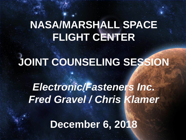## **NASA/MARSHALL SPACE FLIGHT CENTER**

## **JOINT COUNSELING SESSION**

## *Electronic/Fasteners Inc. Fred Gravel / Chris Klamer*

**December 6, 2018**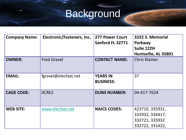## Background

| <b>Company Name:</b> | Electronic/Fasteners, Inc. | <b>277 Power Court</b><br>Sanford FL 32771 | 3322 S. Memorial<br>Parkway<br>Suite 122H                               |
|----------------------|----------------------------|--------------------------------------------|-------------------------------------------------------------------------|
| <b>OWNER:</b>        | <b>Fred Gravel</b>         | <b>CONTACT NAME:</b>                       | Huntsville, AL 35801<br><b>Chris Klamer</b>                             |
| <b>EMAIL:</b>        | fgravel@elecfast.net       | <b>YEARS IN</b><br><b>BUSINESS:</b>        | 37                                                                      |
| <b>CAGE CODE:</b>    | OCRE2                      | <b>DUNS NUMBER:</b>                        | 04-417-7624                                                             |
| <b>WEB SITE:</b>     | www.elecfast.net           | <b>NAICS CODES:</b>                        | 423710, 335931,<br>332932, 334417,<br>332721, 335932<br>332722, 331422, |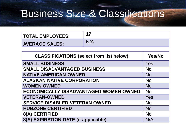## Business Size & Classifications

| <b>TOTAL EMPLOYEES:</b> | 47 |
|-------------------------|----|
| <b>AVERAGE SALES:</b>   |    |

| <b>CLASSIFICATIONS (select from list below):</b> | <b>Yes/No</b> |
|--------------------------------------------------|---------------|
| <b>SMALL BUSINESS</b>                            | Yes           |
| <b>SMALL DISADVANTAGED BUSINESS</b>              | <b>No</b>     |
| <b>NATIVE AMERICAN-OWNED</b>                     | <b>No</b>     |
| <b>ALASKAN NATIVE CORPORATION</b>                | <b>No</b>     |
| <b>WOMEN OWNED</b>                               | <b>No</b>     |
| <b>ECONOMICALLY DISADVANTAGED WOMEN OWNED</b>    | <b>No</b>     |
| <b>VETERAN-OWNED</b>                             | Yes           |
| <b>SERVICE DISABLED VETERAN OWNED</b>            | <b>No</b>     |
| <b>HUBZONE CERTIFIED</b>                         | <b>No</b>     |
| 8(A) CERTIFIED                                   | <b>No</b>     |
| 8(A) EXPIRATION DATE (if applicable)             | N/A           |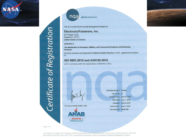

Certificate of Registration

nqa global assurance

This is to certify that the Quality Management System of:

#### **Electronic/Fasteners, Inc.**

277 Power Court Sanford FL 32771 **United States of America** 

applicable to:

The distribution of Aerospace, Military, and Commercial Fasteners and Electronic Hardware

has been assessed and approved by National Quality Assurance, U.S.A., against the provisions of:

#### ISO 9001:2015 and AS9120:2016

and in accordance with the requirements of AS9104/1:2012.

For and on behalf of NQA, USA



Certificate Number: 12646/1 EAC Code: 29 Certified Since: June 16, 2010 Valid Until: June 1, 2019 Reissued: June 8, 2018 Cycle Issued: June 2, 2016 **Site Structure: Single Site** 

Page 1 of 1

This approval is subject to the company maintaining its system to the required standard, which will be monitored by NQA, USA, 289 Great Road, Suite 105, Acton, MA 01720, an accredited organization under the Aerospace Registrar Management Program.

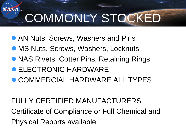# COMMONLY STOCKED

- **AN Nuts, Screws, Washers and Pins**
- **MS Nuts, Screws, Washers, Locknuts**
- NAS Rivets, Cotter Pins, Retaining Rings
- **ELECTRONIC HARDWARE**
- **COMMERCIAL HARDWARE ALL TYPES**

FULLY CERTIFIED MANUFACTURERS Certificate of Compliance or Full Chemical and Physical Reports available.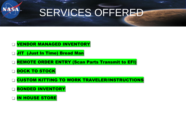

## SERVICES OFFERED

### **U VENDOR MANAGED INVENTORY**

- **JIT (Just In Time) Bread Man**
- **Example ORDER ENTRY (Scan Parts Transmit to EFI)**
- DOCK TO STOCK
- CUSTOM KITTING TO WORK TRAVELER/INSTRUCTIONS
- **BONDED INVENTORY**
- IN HOUSE STORE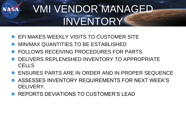## VMI VENDOR MANAGED INVENTORY

- EFI MAKES WEEKLY VISITS TO CUSTOMER SITE
- MIN/MAX QUANTITIES TO BE ESTABLISHED
- FOLLOWS RECEIVING PROCEDURES FOR PARTS
- DELIVERS REPLENISHED INVENTORY TO APPROPRIATE **CELLS**
- ENSURES PARTS ARE IN ORDER AND IN PROPER SEQUENCE
- ASSESSES INVENTORY REQUIREMENTS FOR NEXT WEEK'S DELIVERY.
- REPORTS DEVIATIONS TO CUSTOMER'S LEAD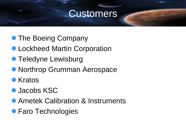### Customers

- The Boeing Company
- **Lockheed Martin Corporation**
- **Teledyne Lewisburg**
- **Northrop Grumman Aerospace**
- **•** Kratos
- **O** Jacobs KSC
- **Ametek Calibration & Instruments**
- **Faro Technologies**